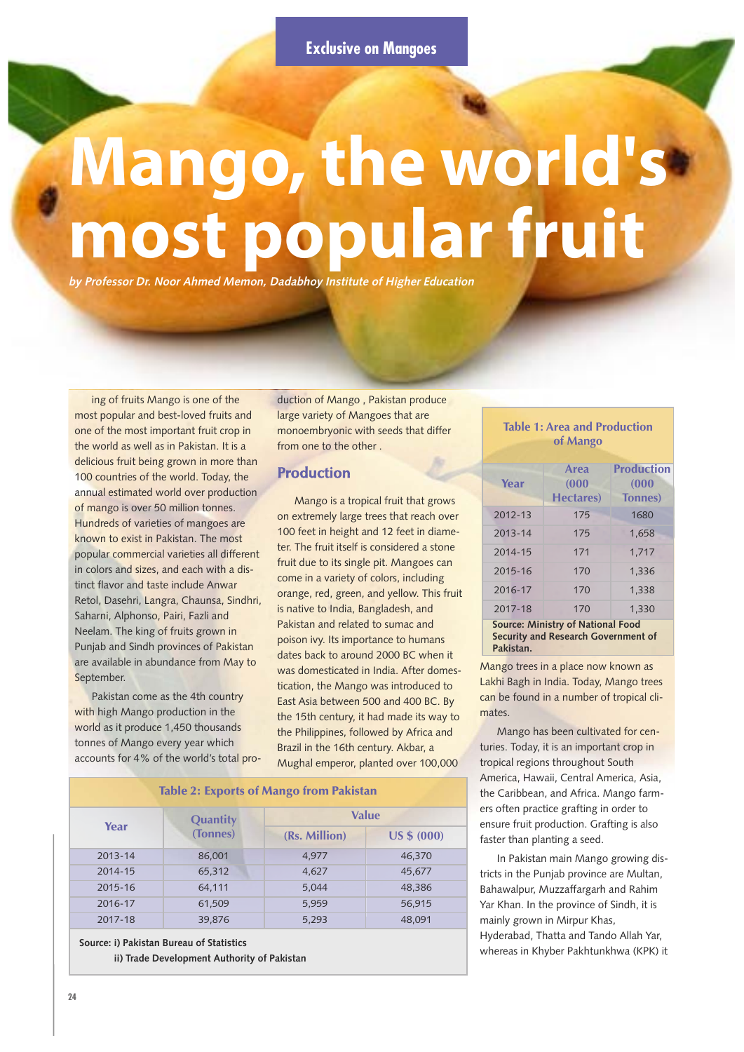# **Mango, the world's most popular fruit**

**by Professor Dr. Noor Ahmed Memon, Dadabhoy Institute of Higher Education**

ing of fruits Mango is one of the most popular and best-loved fruits and one of the most important fruit crop in the world as well as in Pakistan. It is a delicious fruit being grown in more than 100 countries of the world. Today, the annual estimated world over production of mango is over 50 million tonnes. Hundreds of varieties of mangoes are known to exist in Pakistan. The most popular commercial varieties all different in colors and sizes, and each with a distinct flavor and taste include Anwar Retol, Dasehri, Langra, Chaunsa, Sindhri, Saharni, Alphonso, Pairi, Fazli and Neelam. The king of fruits grown in Punjab and Sindh provinces of Pakistan are available in abundance from May to September.

Pakistan come as the 4th country with high Mango production in the world as it produce 1,450 thousands tonnes of Mango every year which accounts for 4% of the world's total production of Mango , Pakistan produce large variety of Mangoes that are monoembryonic with seeds that differ from one to the other .

# **Production**

Mango is a tropical fruit that grows on extremely large trees that reach over 100 feet in height and 12 feet in diameter. The fruit itself is considered a stone fruit due to its single pit. Mangoes can come in a variety of colors, including orange, red, green, and yellow. This fruit is native to India, Bangladesh, and Pakistan and related to sumac and poison ivy. Its importance to humans dates back to around 2000 BC when it was domesticated in India. After domestication, the Mango was introduced to East Asia between 500 and 400 BC. By the 15th century, it had made its way to the Philippines, followed by Africa and Brazil in the 16th century. Akbar, a Mughal emperor, planted over 100,000

| <b>Table 2: Exports of Mango from Pakistan</b> |          |               |                    |  |  |  |
|------------------------------------------------|----------|---------------|--------------------|--|--|--|
|                                                | Quantity | <b>Value</b>  |                    |  |  |  |
| Year                                           | (Tonnes) | (Rs. Million) | <b>US \$ (000)</b> |  |  |  |
| 2013-14                                        | 86,001   | 4.977         | 46,370             |  |  |  |
| 2014-15                                        | 65,312   | 4,627         | 45,677             |  |  |  |
| 2015-16                                        | 64,111   | 5.044         | 48,386             |  |  |  |
| 2016-17                                        | 61,509   | 5,959         | 56,915             |  |  |  |
| 2017-18                                        | 39,876   | 5,293         | 48,091             |  |  |  |
|                                                |          |               |                    |  |  |  |

**Source: i) Pakistan Bureau of Statistics ii) Trade Development Authority of Pakistan**

### **Table 1: Area and Production of Mango**

|                                          | Area              | Production      |  |  |  |
|------------------------------------------|-------------------|-----------------|--|--|--|
| Year                                     | (000)             | (000)           |  |  |  |
|                                          | <b>Hectares</b> ) | <b>Tonnes</b> ) |  |  |  |
| 2012-13                                  | 175               | 1680            |  |  |  |
| 2013-14                                  | 175               | 1.658           |  |  |  |
| 2014-15                                  | 171               | 1,717           |  |  |  |
| 2015-16                                  | 170               | 1.336           |  |  |  |
| 2016-17                                  | 170               | 1.338           |  |  |  |
| 2017-18                                  | 170               | 1.330           |  |  |  |
| <b>Source: Ministry of National Food</b> |                   |                 |  |  |  |
| Security and Research Government of      |                   |                 |  |  |  |
| Pakistan.                                |                   |                 |  |  |  |

Mango trees in a place now known as Lakhi Bagh in India. Today, Mango trees can be found in a number of tropical climates.

Mango has been cultivated for centuries. Today, it is an important crop in tropical regions throughout South America, Hawaii, Central America, Asia, the Caribbean, and Africa. Mango farmers often practice grafting in order to ensure fruit production. Grafting is also faster than planting a seed.

In Pakistan main Mango growing districts in the Punjab province are Multan, Bahawalpur, Muzzaffargarh and Rahim Yar Khan. In the province of Sindh, it is mainly grown in Mirpur Khas, Hyderabad, Thatta and Tando Allah Yar, whereas in Khyber Pakhtunkhwa (KPK) it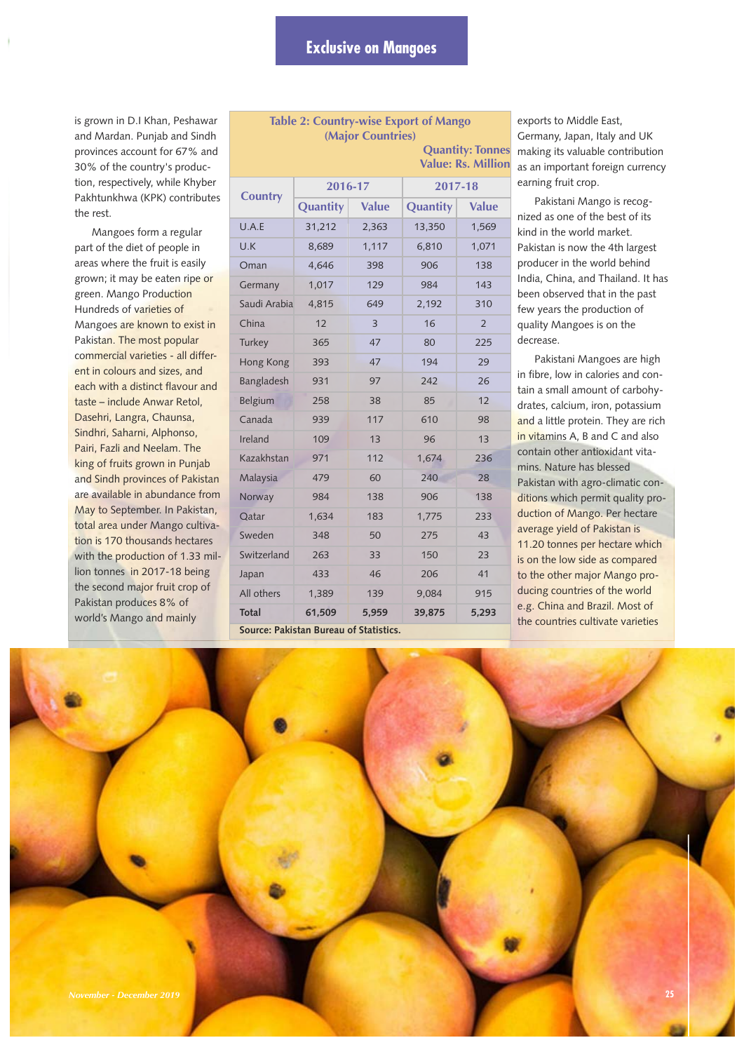**Table 2: Country-wise Export of Mango (Major Countries)** 

is grown in D.I Khan, Peshawar and Mardan. Punjab and Sindh provinces account for 67% and 30% of the country's production, respectively, while Khyber Pakhtunkhwa (KPK) contributes the rest.

Mangoes form a regular part of the diet of people in areas where the fruit is easily grown; it may be eaten ripe or green. Mango Production Hundreds of varieties of Mangoes are known to exist in Pakistan. The most popular commercial varieties - all different in colours and sizes, and each with a distinct flavour and taste – include Anwar Retol, Dasehri, Langra, Chaunsa, Sindhri, Saharni, Alphonso, Pairi, Fazli and Neelam. The king of fruits grown in Punjab and Sindh provinces of Pakistan are available in abundance from May to September. In Pakistan, total area under Mango cultivation is 170 thousands hectares with the production of 1.33 million tonnes in 2017-18 being the second major fruit crop of Pakistan produces 8% of world's Mango and mainly

| <b>Quantity: Tonnes</b><br><b>Value: Rs. Million</b> |          |              |          |                |  |  |
|------------------------------------------------------|----------|--------------|----------|----------------|--|--|
| <b>Country</b>                                       | 2016-17  |              | 2017-18  |                |  |  |
|                                                      | Quantity | <b>Value</b> | Quantity | <b>Value</b>   |  |  |
| U.A.E                                                | 31,212   | 2,363        | 13,350   | 1,569          |  |  |
| U.K                                                  | 8,689    | 1,117        | 6,810    | 1,071          |  |  |
| Oman                                                 | 4,646    | 398          | 906      | 138            |  |  |
| Germany                                              | 1,017    | 129          | 984      | 143            |  |  |
| Saudi Arabia                                         | 4,815    | 649          | 2,192    | 310            |  |  |
| China                                                | 12       | 3            | 16       | $\overline{2}$ |  |  |
| Turkey                                               | 365      | 47           | 80       | 225            |  |  |
| Hong Kong                                            | 393      | 47           | 194      | 29             |  |  |
| Bangladesh                                           | 931      | 97           | 242      | 26             |  |  |
| <b>Belgium</b>                                       | 258      | 38           | 85       | 12             |  |  |
| Canada                                               | 939      | 117          | 610      | 98             |  |  |
| Ireland                                              | 109      | 13           | 96       | 13             |  |  |
| Kazakhstan                                           | 971      | 112          | 1,674    | 236            |  |  |
| Malaysia                                             | 479      | 60           | 240      | 28             |  |  |
| Norway                                               | 984      | 138          | 906      | 138            |  |  |
| Qatar                                                | 1,634    | 183          | 1,775    | 233            |  |  |
| Sweden                                               | 348      | 50           | 275      | 43             |  |  |
| Switzerland                                          | 263      | 33           | 150      | 23             |  |  |
| Japan                                                | 433      | 46           | 206      | 41             |  |  |
| All others                                           | 1,389    | 139          | 9,084    | 915            |  |  |
| <b>Total</b>                                         | 61,509   | 5,959        | 39,875   | 5,293          |  |  |
| Source: Pakistan Bureau of Statistics.               |          |              |          |                |  |  |

exports to Middle East, Germany, Japan, Italy and UK making its valuable contribution as an important foreign currency earning fruit crop.

Pakistani Mango is recognized as one of the best of its kind in the world market. Pakistan is now the 4th largest producer in the world behind India, China, and Thailand. It has been observed that in the past few years the production of quality Mangoes is on the decrease.

Pakistani Mangoes are high in fibre, low in calories and contain a small amount of carbohydrates, calcium, iron, potassium and a little protein. They are rich in vitamins A, B and C and also contain other antioxidant vitamins. Nature has blessed Pakistan with agro-climatic conditions which permit quality production of Mango. Per hectare average yield of Pakistan is 11.20 tonnes per hectare which is on the low side as compared to the other major Mango producing countries of the world e.g. China and Brazil. Most of the countries cultivate varieties